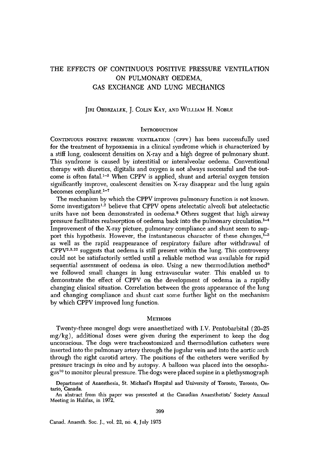# THE EFFECTS OF CONTINUOUS POSITIVE PRESSURE VENTILATION ON PULMONARY OEDEMA, GAS EXCHANGE AND LUNG MECHANICS

### Jim OBDRZALEK, J. COLIN KAY, AND WILLIAM H. NOBLE

#### **INTRODUCTION**

CONTINUOUS POSITIVE PRESSURE VENTILATION (CPPV) has been successfully used for the treatment of hypoxaemia in a clinical syndrome which is characterized by a stiff lung, coalescent densities on X-ray and a high degree of pulmonary shunt. This syndrome is caused by interstitial or interalveolar oedema. Conventional therapy with diuretics, digitalis and oxygen is not always successful and the butcome is often fatal.<sup>1-3</sup> When CPPV is applied, shunt and arterial oxygen tension significantly improve, coalescent densities on X-ray disappear and the lung again becomes compliant.<sup>1-7</sup>

The mechanism by which the CPPV improves pulmonary function is not known. Some investigators<sup>1,2</sup> believe that CPPV opens atelectatic alveoli but atelectactic units have not been demonstrated in oedema,<sup>8</sup> Others suggest that high airway pressure facilitates reabsorption of oedema back into the pulmonary circulation.<sup>1-4</sup> Improvement of the X-ray picture, pulmonary compliance and shunt seem to support this hypothesis. However, the instantaneous character of these changes, $1-3$ as well as the rapid reappearance of respiratory failure after withdrawal of  $CPPV<sup>2,3,22</sup>$  suggests that oedema is still present within the lung. This controversy could not be satisfactorily settled until a reliable method was available for rapid sequential assessment of oedema *in vivo*. Using a new thermodilution method<sup>9</sup> we followed small changes in lung extravascular water. This enabled us to demonstrate the effect of CPPV on the development of oedema in a rapidly changing clinical situation. Correlation between the gross appearance of the lung and changing compliance and shunt cast some further light on the mechanism by which CPPV improved lung function.

#### **METHODS**

Twenty-three mongrel dogs were anaesthetized with I.V. Pentobarbital (20-25 mg/kg), additional doses were given during the experiment to keep the dog unconscious. The dogs were tracheostomized and thermodilution catheters were inserted into the pulmonary artery through the jugular vein and into the aortic arch through the right carotid artery. The positions of the catheters were verified by pressure tracings in *vivo* and by autopsy. A balloon was placed into the oesophagus<sup>10</sup> to monitor pleural pressure. The dogs were placed supine in a plethysmograph

Canad. Anaesth. Soc. J., vol. 22, no. 4, July 1975

Department of Anaesthesia, St. Michael's Hospital and University of Toronto, Toronto, Ontario, Canada.

An abstract from this paper was presented at the Canadian Anaesthetists' Society Annual Meeting in Halifax, in 1972.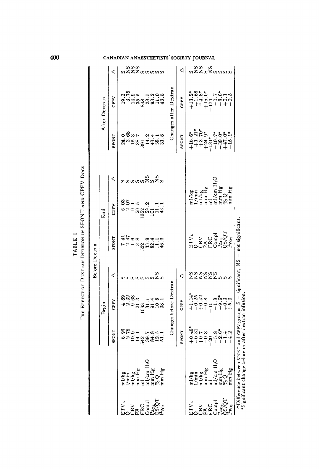| CANADIAN ANAESTHETISTS' SOCIETY JOURNAL               |                |               |              |                                                                                             |  |                                       |       |                       |              |                                                                                                                                                                                                                                                                                                                                                                                        |       |       |                         |                               |       |                                                                                                                 |
|-------------------------------------------------------|----------------|---------------|--------------|---------------------------------------------------------------------------------------------|--|---------------------------------------|-------|-----------------------|--------------|----------------------------------------------------------------------------------------------------------------------------------------------------------------------------------------------------------------------------------------------------------------------------------------------------------------------------------------------------------------------------------------|-------|-------|-------------------------|-------------------------------|-------|-----------------------------------------------------------------------------------------------------------------|
|                                                       |                |               | ◁            | ທິຂອງ<br>ທີ່ຂອງ                                                                             |  |                                       |       |                       | ◁            |                                                                                                                                                                                                                                                                                                                                                                                        |       |       | ທ22ທ2ຶທທາງ              |                               |       |                                                                                                                 |
|                                                       |                | After Dextran | CPPV         | 22595 538314<br>234888814                                                                   |  |                                       |       | Changes after Dextran | CPPV         |                                                                                                                                                                                                                                                                                                                                                                                        |       |       |                         |                               |       |                                                                                                                 |
|                                                       |                |               | <b>SPONT</b> | $\alpha$ and $\alpha$ and $\alpha$ and $\alpha$ and $\alpha$ and $\alpha$ and $\alpha$      |  |                                       |       |                       | <b>SPONT</b> | $77.57$<br>$77.57$<br>$77.57$<br>$77.57$<br>$77.57$<br>$77.57$<br>$77.57$<br>$77.57$<br>$77.57$<br>$77.57$<br>$77.57$<br>$77.57$<br>$77.57$<br>$77.57$                                                                                                                                                                                                                                 |       |       |                         |                               |       |                                                                                                                 |
|                                                       | Before Dextran | End           | ◁            | ທທທທາງ<br>ທານ                                                                               |  |                                       |       |                       |              | $\begin{array}{l} \mathsf{m}/\mathsf{kg} \\ 1/\mathsf{min} \\ \mathsf{m}/\mathsf{kg} \\ \mathsf{mm} \\ \mathsf{m} \\ \mathsf{m}/\mathsf{cm} \\ \mathsf{m}/\mathsf{cm} \\ \mathsf{m} \\ \mathsf{m} \\ \mathsf{m} \\ \mathsf{m} \\ \mathsf{m} \\ \mathsf{m} \\ \mathsf{m} \\ \mathsf{m} \\ \mathsf{m} \\ \mathsf{m} \\ \mathsf{m} \\ \mathsf{m} \\ \mathsf{m} \\ \mathsf{m} \end{array}$ |       |       |                         |                               |       |                                                                                                                 |
| THE EFFECT OF DEXTRAN INFUSION IN SPONT AND CPPV DOGS |                |               | CPPV         | $6.575$<br>$6.9515$<br>$6.9588$<br>$6.9588$<br>$6.9511$<br>$6.9511$<br>$6.9511$<br>$6.9511$ |  |                                       |       |                       |              |                                                                                                                                                                                                                                                                                                                                                                                        |       |       |                         |                               |       |                                                                                                                 |
|                                                       |                |               | <b>TKO4S</b> | 74768 9419<br>74768 9419                                                                    |  |                                       |       |                       |              | ETVL<br>QBN CO <sub>RAS</sub><br>CARCORAS<br>QSX<br>PV8                                                                                                                                                                                                                                                                                                                                |       |       |                         |                               |       | = not significant.                                                                                              |
|                                                       |                | Begin         | ◁            | ຕ<br>ແຕກຕາມ                                                                                 |  |                                       |       |                       | ◁            |                                                                                                                                                                                                                                                                                                                                                                                        |       |       | ທທທທທທ<br>ZZZZZZZww     |                               |       | = significant, NS                                                                                               |
|                                                       |                |               | CPPV         | 12282<br>12383 - 11221<br>1235528                                                           |  |                                       |       | inges before Dextran  | CPPV         |                                                                                                                                                                                                                                                                                                                                                                                        |       |       | $+1+1+1+1$              |                               |       |                                                                                                                 |
|                                                       |                |               | <b>SPONT</b> | 6.95                                                                                        |  | 1<br>4222215                          |       | ದೆ                    | <b>SPONT</b> | $+1+1$                                                                                                                                                                                                                                                                                                                                                                                 |       |       |                         |                               |       |                                                                                                                 |
|                                                       |                |               |              | $\frac{m}{k}$<br>$\frac{m}{k}$<br>$\frac{m}{k}$<br>$\frac{m}{k}$<br>$\frac{m}{k}$           |  | $m/cm$ H <sub>2</sub> O<br>$min$ $Hg$ | nm Hg |                       |              | $\frac{m}{\sqrt{mn}}$                                                                                                                                                                                                                                                                                                                                                                  | mi/kg | am Hg | $m/cm$ H <sub>2</sub> O | $\frac{m}{\%}$ $\frac{Hg}{Q}$ | nm Hg | $\Delta$ Difference between spoxr and cPPv groups, S = :<br>Significant change before or after dextran infusion |
|                                                       |                |               |              | $TV_{L}$                                                                                    |  | lduo;                                 |       |                       |              | TV <sub>L</sub>                                                                                                                                                                                                                                                                                                                                                                        |       |       | lqmp.                   |                               |       |                                                                                                                 |

TABLE I

INEIGION IN SPONT AND CPPV DOCS  $\alpha$   $\Omega$   $\alpha$   $\gamma$   $\gamma$  $\mathfrak{h}$  $\mathbf{G}_{\mathrm{eff}}$ 

400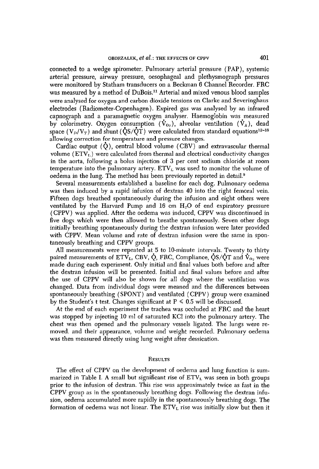connected to a wedge spirometer. Pulmonary arterial pressure (PAP), systemic arterial pressure, airway pressure, oesophageal and plethysmograph pressures were monitored by Statham transducers on a Beckman 6 Channel Recorder. FRC was measured by a method of DuBois.<sup>11</sup> Arterial and mixed venous blood samples were analysed for oxygen and carbon dioxide tensions on Clarke and Severinghaus electrodes (Radiometer-Copenhagen). Expired gas was analysed by an infrared capnograph and a paramagnetic oxygen analyser. Haemoglobin was measured by colorimetry. Oxygen consumption  $(\dot{V}_{0_2})$ , alveolar ventilation  $(\dot{V}_A)$ , dead space ( $V_{\rm p}/V_{\rm T}$ ) and shunt ( $\dot{Q}S/\dot{Q}T$ ) were calculated from standard equations<sup>12-15</sup> allowing correction for temperature and pressure changes.

Cardiac output  $\overline{Q}$ , central blood volume  $(CBV)$  and extravascular thermal volume ( $ETV<sub>L</sub>$ ) were calculated from thermal and electrical conductivity changes in the aorta, fol]owing a bolus injection of 3 per cent sodium chloride at room temperature into the pulmonary artery.  $ETV_L$  was used to monitor the volume of oedema in the lung. The method has been previously reported in detail.<sup>9</sup>

Several measurements established a baseline for each dog. Pulmonary oedema was then induced by a rapid infusion of dextran 40 into the right femoral vein. Fifteen dogs breathed spontaneously during the infusion and eight others were ventilated by the Harvard Pump and 16 cm  $H_2O$  of end expiratory pressure (CPPV) was applied. After the oedema was induced, CPPV was discontinued in five dogs which were then allowed to breathe spontaneously. Seven other dogs initially breathing spontaneously during the dextran infusion were later provided with CPPV. Mean volume and rate of dextran infusion were the same in spontaneously breathing and CPPV groups.

All measurements were repeated at 5 to 10-minute intervals. Twenty to thirty paired measurements of  $ETV<sub>L</sub>$ , CBV,  $\dot{Q}$ , FRC, Compliance,  $\dot{Q}S/\dot{Q}T$  and  $\dot{V}_{Q}$ , were made during each experiment. Only initial and final values both before and after the dextran infusion will be presented. Initial and final values before and after the use of CPPV will also be shown for all dogs where the ventilation was changed. Data from individual dogs were meaned and the differences between spontaneously breathing (SPONT) and ventilated (CPPV) group were examined by the Student's t test. Changes significant at  $P \le 0.5$  will be discussed.

At the end of each experiment the trachea was occluded at FRC and the heart was stopped by injecting 10 ml of saturated KC1 into the pulmonary artery. The chest was then opened and the pulmonary vessels ligated. The lungs were removed, and their appearance, volume and weight recorded. Pulmonary oedema was then measured directly using lung weight after dessication.

#### **RESULTS**

The effect of CPPV on the development of oedema and lung function is summarized in Table I. A small but significant rise of  $ETV<sub>L</sub>$  was seen in both groups prior to the infusion of dextran. This rise was approximately twice as fast in the CPPV group as in the spontaneously breathing dogs. Following the dextran infusion, oedema accumulated more rapidly in the spontaneously breathing dogs. The formation of oedema was not linear. The  $ETV<sub>L</sub>$  rise was initially slow but then it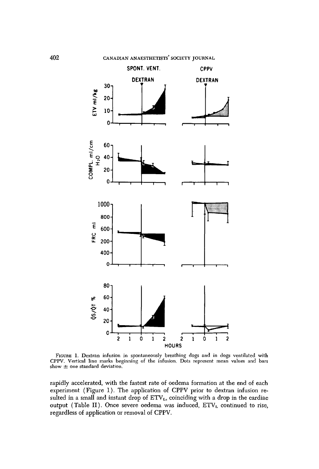

FIGURE 1. Dextran infusion in spontaneously breathing dogs and in dogs ventilated with CPPV. Vertical line marks beginning of the infusion. Dots represent mean values and bars show  $\pm$  one standard deviation.

rapidly accelerated, with the fastest rate of oedema formation at the end of each experiment (Figure 1). The application of CPPV prior to dextran infusion resulted in a small and instant drop of  $ETV_L$ , coinciding with a drop in the cardiac output (Table II). Once severe oedema was induced, ETV<sub>L</sub> continued to rise, regardless of application or removal of CPPV.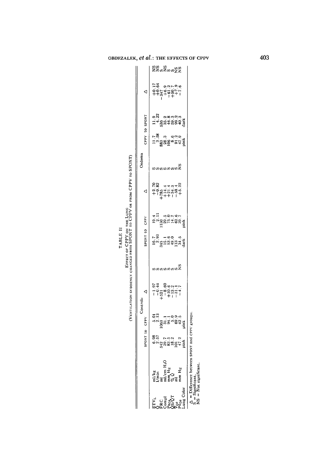|          |                                                                                                       |                    | ៜឨ៳ឨ៷៰៷៓៓៓៓៓                                                                                                                                                                                                                                                                                                                                      |
|----------|-------------------------------------------------------------------------------------------------------|--------------------|---------------------------------------------------------------------------------------------------------------------------------------------------------------------------------------------------------------------------------------------------------------------------------------------------------------------------------------------------|
| TABLE II |                                                                                                       | ◁                  |                                                                                                                                                                                                                                                                                                                                                   |
|          |                                                                                                       | CPPV to SPONT      |                                                                                                                                                                                                                                                                                                                                                   |
|          |                                                                                                       |                    | $1.8$ $\frac{3}{2}$ $\frac{3}{2}$ $\frac{3}{2}$ $\frac{3}{2}$ $\frac{3}{2}$ $\frac{3}{2}$ $\frac{3}{2}$ $\frac{3}{2}$ $\frac{3}{2}$ $\frac{3}{2}$ $\frac{3}{2}$ $\frac{3}{2}$ $\frac{3}{2}$ $\frac{3}{2}$ $\frac{3}{2}$ $\frac{3}{2}$ $\frac{3}{2}$ $\frac{3}{2}$ $\frac{3}{2}$ $\frac{3}{2}$ $\frac{3}{2}$ $\frac{3$                             |
|          |                                                                                                       | Oedema             | ៳<br>ຂັ້ນຕົນຕົນຕີ                                                                                                                                                                                                                                                                                                                                 |
|          |                                                                                                       | ◁                  | $7.70$<br>$+ 2.3$<br>$+ 78.4$<br>$+ 78.3$<br>$+ 74.3$<br>$+ 74.3$<br>$+ 6.2$<br>$+ 6.2$                                                                                                                                                                                                                                                           |
|          |                                                                                                       | SPONT to CPPV      | $\begin{array}{c}\n 14.1 \\  24.1 \\  32.1 \\  13.2 \\  14.2 \\  15.2 \\  16.2 \\  17.2 \\  18.2 \\  19.2 \\  19.2 \\  19.2 \\  19.2 \\  19.2 \\  19.2 \\  19.2 \\  19.2 \\  19.2 \\  19.2 \\  19.2 \\  19.2 \\  19.2 \\  19.2 \\  19.2 \\  19.2 \\  19.2 \\  19.2 \\  19.2 \\  19.2 \\  19.2 \\  19.2 \\  19.2 \\  19.2 \\  19.2 \\  19.2 \\  1$ |
|          |                                                                                                       |                    | $5\frac{3}{2}$ 190 9<br>$5\frac{3}{2}$ 190 9                                                                                                                                                                                                                                                                                                      |
|          |                                                                                                       |                    | និសលលលលាន<br>និសលលលល                                                                                                                                                                                                                                                                                                                              |
|          | EFFECT OF CPPV ON THE LUNG<br>(VENTILATION SUDDENLY CHANGED FROM SPONT TO CPPV OR FROM CPPV TO SPONT) | ◁                  | $\begin{array}{r} 1.75 \\ -1.51 \\ -1.52 \\ +1.74 \\ +1.1 \end{array}$                                                                                                                                                                                                                                                                            |
|          |                                                                                                       | Controls<br>to cPN | CPPV groups<br>$\frac{5}{2}$ .13                                                                                                                                                                                                                                                                                                                  |
|          |                                                                                                       | SPON:              | œι<br>$\frac{16}{2}$ and $\frac{16}{2}$ and $\frac{16}{2}$                                                                                                                                                                                                                                                                                        |
|          |                                                                                                       |                    | ifference between SPONT and<br>/cm H <sub>2</sub>                                                                                                                                                                                                                                                                                                 |
|          |                                                                                                       |                    |                                                                                                                                                                                                                                                                                                                                                   |

403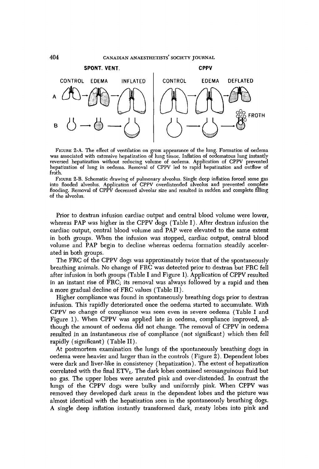

**FICUnE** 2-A. The effect of ventilation on gross appearanee of the lung. Formation of oedema was associated with extensive hepatization of lung tissue. Inflation of oedematous lung instantly reversed hepatization without reducing volume of oedema. Application of CPPV prevented hepatization of lung in oedema. Removal of CPPV led to rapid hepatization and outflow of froth.

FIGURE 2-B. Schematic drawing of pulmonary alveolus. Single deep inflation forced some gas into flooded alveolus. Application of CPPV overdistended alveolus and prevented complete flooding. Removal of CPPV decreased alveolar size and resulted in sudden and complete filling of the alveolus.

Prior to dextran infusion cardiac output and central blood volume were lower, whereas PAP was higher in the CPPV dogs (Table I). After dextran infusion the cardiac output, central blood volume and PAP were elevated to the same extent in both groups. When the infusion was stopped, cardiac output, central blood volume and PAP begin to decline whereas oedema formation steadily accelerated in both groups.

The FRC of the CPPV dogs was approximately twice that of the spontaneously breathing animals. No change of FRC was detected prior to dextran but FRC fell after infusion in both groups (Table I and Figure 1). Application of CPPV resulted in an instant rise of FRC; its removal was always followed by a rapid and then a more gradual decline of FRC values (Table II).

Higher compliance was found in spontaneously breathing dogs prior to dextran infusion. This rapidly deteriorated once the oedema started to accumulate. With CPPV no change of compliance was seen even in severe oedema (Table I and Figure 1). When CPPV was applied late in oedema, compliance improved, although the amount of oedema did not change. The removal of CPPV in oedema resulted in an instantaneous rise of compliance (not significant) which then fell rapidly (significant) ( Table II).

At postmortem examination the lungs of the spontaneously breathing dogs in oedema were heavier and larger than in the controls (Figure 2). Dependent lobes were dark and liver-like in consistency (hepatization). The extent of hepatization correlated with the final  $ETV<sub>L</sub>$ . The dark lobes contained serosanguinous fluid but no gas. The upper lobes were aerated pink and over-distended. In contrast the lungs of the CPPV dogs were bulky and uniformly pink. When CPPV was removed they developed dark areas in the dependent lobes and the picture was almost identical with the hepatization seen in the spontaneously breathing dogs. A single deep inflation instantly transformed dark, meaty lobes into pink and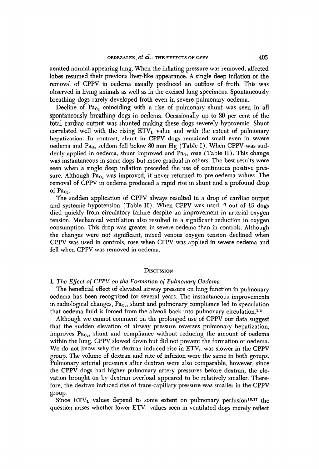aerated normal-appearing lung. When the inflating pressure was removed, affected lobes resumed their previous liver-like appearance. A single deep inflation or the removal of CPPV in oedema usually produced an outflow of froth. This was observed in living animals as well as in the excised lung specimens. Spontaneously breathing dogs rarely developed froth even in severe pulmonary oedema.

Decline of  $Pa_{02}$  coinciding with a rise of pulmonary shunt was seen in all spontaneously breathing dogs in oedema. Occasionally up to 80 per cent of the total cardiac output was shunted making these dogs severely hypoxemic. Shunt correlated well with the rising  $ETV<sub>L</sub>$  value and with the extent of pulmonary hepatization. In contrast, shunt in CPPV dogs remained small even in severe oedema and  $Pa_{0_2}$  seldom fell below 80 mm Hg (Table I). When CPPV was suddenly applied in oedema, shunt improved and  $Pa_{02}$  rose (Table II). This change was instantaneous in some dogs but more gradual in others. The best results were seen when a single deep inflation preceded the use of continuous positive pressure. Although  $Pa_{02}$  was improved, it never returned to pre-oedema values. The removal of CPPV in oedema produced a rapid rise in shunt and a profound drop of Pa $_{0}$ .

The sudden application of CPPV always resulted in a drop of cardiac output and systemic hypotension (Table II). When CPPV was used, 2 out of 15 dogs died quickly from circulatory failure despite an improvement in arterial oxygen tension. Mechanical ventilation also resulted in a significant reduction in oxygen consumption. This drop was greater in severe oedema than in controls. Although the changes were not significant, mixed venous oxygen tension declined when CPPV was used in controls, rose when CPPV was applied in severe oedema and fell when CPPV was removed in oedema.

#### **DISCUSSION**

#### *1. The Effect of CPPV on the Formation of Pulmonary Oedema*

The beneficial effect of elevated airway pressure on lung function in pulmonary oedema has been recognized for several years. The instantaneous improvements in radiological changes,  $Pa_{02}$ , shunt and pulmonary compliance led to speculation that oedema fluid is forced from the alveoli back into pulmonary circulation.<sup>1,4</sup>

Although we cannot comment on the prolonged use of CPPV our data suggest that the sudden elevation of airway pressure reverses pulmonary hepatization, improves  $Pa<sub>02</sub>$ , shunt and compliance without reducing the amount of oedema within the lung. CPPV slowed down but did not prevent the formation of oedema. We do not know why the dextran induced rise in  $ETV<sub>L</sub>$  was slower in the CPPV group. The volume of dextran and rate of infusion were the same in both groups. Pulmonary arterial pressures after dextran were also comparable, however, since the CPPV dogs had higher pulmonary artery pressures before dextran, the elevation brought on by dextran overload appeared to be relatively smaller. Therefore, the dextran induced rise of trans-capillary pressure was smaller in the CPPV group.

Since  $ETV<sub>L</sub>$  values depend to some extent on pulmonary perfusion<sup>16,17</sup> the question arises whether lower  $ETV<sub>L</sub>$  values seen in ventilated dogs merely reflect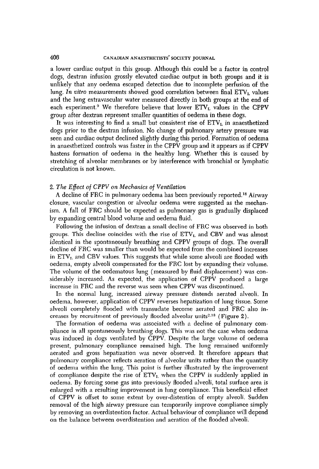### 406 CANADIAN ANAESTHETISTS' SOCIETY JOURNAL

a lower cardiac output in this group. Although this could be a factor in control dogs, dextran infusion grossly elevated cardiac output in both groups and it is unlikely that any oedema escaped detection due to incomplete perfusion of the lung. *In vitro* measurements showed good correlation between final ETV<sub>L</sub> values and the lung extravascular water measured directly in both groups at the end of each experiment.<sup>9</sup> We therefore believe that lower  $ETV<sub>L</sub>$  values in the CPPV group after dextran represent smaller quantities of oedema in these dogs.

It was interesting to find a small but consistent rise of  $ETV<sub>L</sub>$  in anaesthetized dogs prior to the dextran infusion. No change of pulmonary artery pressure was seen and cardiac output declined slightly during this period. Formation of oedema in anaesthetized controls was faster in the CPPV group and it appears as if CPPV hastens formation of oedema in the healthy lung. Whether this is caused by stretching of alveolar membranes or by interference with bronchial or lymphatic circulation is not known.

### 2. The Effect of CPPV on Mechanics of Ventilation

A decline of FRC in pulmonary oedema has been previously reported.<sup>18</sup> Airway closure, vascular congestion or alveolar oedema were suggested as the mechanism. A fall of FRC should be expected as puhnonary gas is gradually displaced by expanding central blood volume and oedema fluid.

Following the infusion of dextran a small decline of FRC was observed in both groups. This decline coincides with the rise of  $ETV<sub>L</sub>$  and CBV and was almost identical in the spontaneously breathing and CPPV groups of dogs. The overall decline of FRC was smaller than would be expected from the combined increases in  $ETV<sub>L</sub>$  and CBV values. This suggests that while some alveoli are flooded with oedema, empty alveoli compensated for the FRC lost by expanding their volume. The volume of the oedematous lung (measured by fluid displacement) was considerably increased. As expected, the application of CPPV produced a large increase in FRC and the reverse was seen when CPPV was discontinued.

In the normal lung, increased airway pressure distends aerated alveoli. In oedema, however, application of CPPV reverses hepatization of lung tissue. Some alveoli completely flooded with transudate become aerated and FRC also increases by recruitment of previously flooded alveolar units<sup>2,18</sup> (Figure 2).

The formation of oedema was associated with a decline of pulmonary compliance in all spontaneously breathing dogs. This was not the case when oedema was induced in dogs ventilated by CPPV. Despite the large volume of oedema present, puhnonary compliance remained high. The lung remained uniformly aerated and gross hepatization was never observed. It therefore appears that pulmonary compliance reflects aeration of alveolar units rather than the quantity of oedema within the lung. This point is further illustrated by the improvement of compliance despite the rise of  $ETV<sub>L</sub>$  when the CPPV is suddenly applied in oedema. By forcing some gas into previously flooded alveoli, total surface area is enlarged with a resulting improvement in lung compliance. This beneficial effect of CPPV is offset to some extent by over-distention of empty alveoli. Sudden removal of the high airway pressure can temporarily improve compliance simply by removing an overdistention factor. Actual behaviour of compliance will depend on the balance between overdistention and aeration of the flooded alveoli.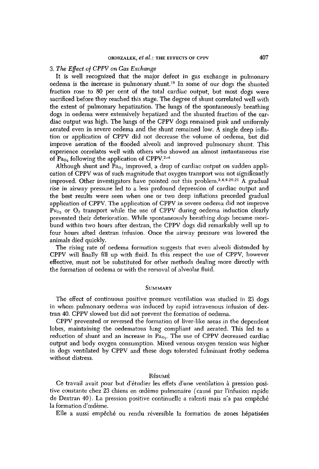# *3. The Effect of CPPV on Gas Exchange*

It is well recognized that the major defect in gas exchange in puhnonary oedema is the increase in pulmonary shunt.<sup>19</sup> In some of our dogs the shunted fraction rose to 80 per cent of the total cardiac output, but most dogs were sacrificed before they reached this stage. The degree of shunt correlated well with the extent of pulmonary hepatization. The lungs of the spontaneously breathing dogs in oedema were extensively hepatized and the shunted fraction of the cardiac output was high. The lungs of the CPPV dogs remained pink and uniformly aerated even in severe oedema and the shunt remained low. A single deep inflation or application of CPPV did not decrease the volume of oedema, but did improve aeration of the flooded alveoli and improved pulmonary shunt. This experience correlates well with others who showed an almost instantaneous rise of  $Pa_{02}$  following the application of CPPV.<sup>2-4</sup>

Although shunt and  $Pa_{02}$  improved, a drop of cardiac output on sudden application of CPPV was of such magnitude that oxygen transport was not significantly improved. Other investigators have pointed out this problem.<sup>3,4,6,20,21</sup> A gradual rise in airway pressure led to a less profound depression of cardiac output and the best results were seen when one or two deep inflations preceded gradual application of CPPV. The application of CPPV in severe oedema did not improve  $Pv_{02}$  or  $O_2$  transport while the use of CPPV during oedema induction clearly prevented their deterioration. While spontaneously breathing dogs became moribund within two hours after dextran, the CPPV dogs did remarkably well up to four hours afted dextran infusion. Once the airway pressure was lowered the animals died quickly.

The rising rate of oedema formation suggests that even alveoli distended by CPPV will finally fill up with fluid. In this respect the use of CPPV, however effective, must not be substituted for other methods dealing more directly with the formation of oedema or with the removal of alveolar fluid.

### **SUMMARY**

The effect of continuous positive pressure ventilation was studied in 23 dogs in whom pulmonary oedema was induced by rapid intravenous infusion of dextran 40. CPPV slowed but did not prevent the formation of oedema.

CPPV prevented or reversed the formation of liver-like areas in the dependent lobes, maintaining the oedematous lung compliant and aerated. This led to a reduction of shunt and an increase in  $Pa<sub>02</sub>$ . The use of CPPV decreased cardiac output and body oxygen consumption. Mixed venous oxygen tension was higher in dogs ventilated by CPPV and these dogs tolerated fulminant frothy oedema without distress.

# RÉSUMÉ

Ce travail avait pour but d'étudier les effets d'une ventilation à pression positive constante chez 23 chiens en œdème pulmonaire (causé par l'infusion rapide de Dextran 40). La pression positive continuelle a ralenti mais n'a pas empêché la formation d'œdème.

Elle a aussi empêché ou rendu réversible la formation de zones hépatisées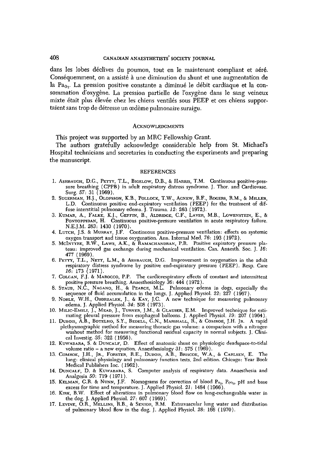### 408 CANADIAN ANAESTHETISTS' SOCIETY JOURNAL

dans les lobes déclives du poumon, tout en le maintenant compliant et aéré. Conséquemment, on a assisté à une diminution du shunt et une augmentation de la Pa<sub>02</sub>. La pression positive constante a diminué le débit cardiaque et la consommation d'oxygène. La pression partielle de l'oxygène dans le sang veineux mixte était plus élevée chez les chiens ventilés sous PEEP et ces chiens supportaient sans trop de détresse un œdème pulmonaire suraigu.

#### **ACKNOWLEDGMENTS**

This project was supported by an MRC Fellowship Grant.

The authors gratefully acknowledge considerable help from St. Michael's Hospital technicians and secretaries in conducting the experiments and preparing the manuscript.

#### REFERENCES

- 1. ASHBAUGH, D.G., PETTY, T.L., BIGELOW, D.B., & HARRIS, T.M. Continuous positive-pressure breathing (CPPB) in adult respiratory distress syndrome. J. Thor. and Cardiovasc. Surg. *57:31* (1969).
- 2, SUCEnMAN, H.J., OLOFSSON, K.B., POLLOCK, T.W., ACNEW, R.F., ROCERS, R.M., & MILLER, L.D. Continuous positive end-expiratory ventilation (PEEP) for the treatment of diffuse interstitial pulmonary edema. J. Trauma. *12:263* (1972.).
- 3. Kumar, A., Falke, K.J., Geffin, B., Aldridge, C.F., Laver, M.B., Lowenstein, E., & PONTOPPIDAN, H. Continuous positive-pressure ventilation in acute respiratory failure. N.E.J.M. *283:1430* (1970).
- 4. LUTCH, J.S. & MURRAY, J.F. Continuous positive-pressure ventilation: effects on systemic oxygen transport and tissue oxygenation. Ann. Internal Med. *76:193* (1972).
- 5. MCINTYRE, R.W., LAWS, A.K., & RAMACHANDRAN, P.R. Positive expiratory pressure plateau: improved gas exchange during mechanical ventilation. Can. Anaesth. Soc. J. *16:*  477 (1969).
- 6. PETTY, T.L., NETT, L.M., & ASHBAUGH, D.G. Improvement in oxygenation in the adult respiratory distress syndrome by positive end-expiratory pressure (PEEP). Resp. Care *16:173* (1971).
- 7. COLCAN, F.J. & MAROCCO, P.P. The cardiorespiratory effects of constant and intermittent positive pressure breathing. Anaesthesiology *36:444* (1972).
- 8. STAUe, N.C., NACANO, H., & PEARCE, M.L. Pulmonary edema in dogs, especially the sequence of fluid accumulation in the hmgs. J. Applied Physiol. *22:227* (1967).
- 9. NOBLE, W.H., OBDRZALEK, J., & KAY, J.C. A new technique for measuring pulmonary edema. J. Applied Physiol. 34:508 (1973).
- 10. Milic-Emili, J., Mead, J., Turner, J.M., & Glauser, E.M. Improved technique for estimating pleural pressure from esophageal balloons. J. Applied Physiol. *19:207* (1964).
- 11. Dubois, A.B., Botelho, S.Y., Bedell, G.N., Marshall, R., & Сомвое, J.H. Jr. A rapid plethysmographie method for measuring thoracic gas volume: a comparison with a nitrogen washout method for measuring functional residual capacity in normal subjects. J. Clinical Investig. 35:322 (1956).
- 12. *KUWAnA~,* S. & DUNCALF, D. Effect of anatomic shunt on physiologic deadspace-to-tidal volume ratio - a new equation. Anaesthesiology  $31:575$  (1969).
- 13. COMROE, J.H., JR., FORSTER, R.E., DUBOIS, A.B., BRISCOE, W.A., & CARLSEN, E. The hmg: clinical physiology and pulmonary function tests. 2nd edition. Chicago: Year Book Medical Publishers Inc. (1962).
- 14. DUNCALF, D. & KUWABARA, S. Computer analysis of respiratory data. Anaesthesia and Analgesia *50:719* ( 1971 ).
- 15. KELMAN, G.R. & NUNN, J.F. Nomograms for correction of blood  $P_{0.2}$ ,  $P_{C0.2}$ , pH and base excess for time and temperature. J. Applied Physiol. *21* : 1484 (1966).
- 16. KINK, B.W. Effect of alterations in pulmonary blood flow on lung-exchangeable water in the dog. J. Applied Physiol. *27:607* (1969).
- 17. LEVINE, O.R., MELLINS, R.B., & SENIOR, R.M. Extravascular hmg water and distribution of pulmonary blood flow in the dog. J. Applied Physiol. *28:166* (1970).